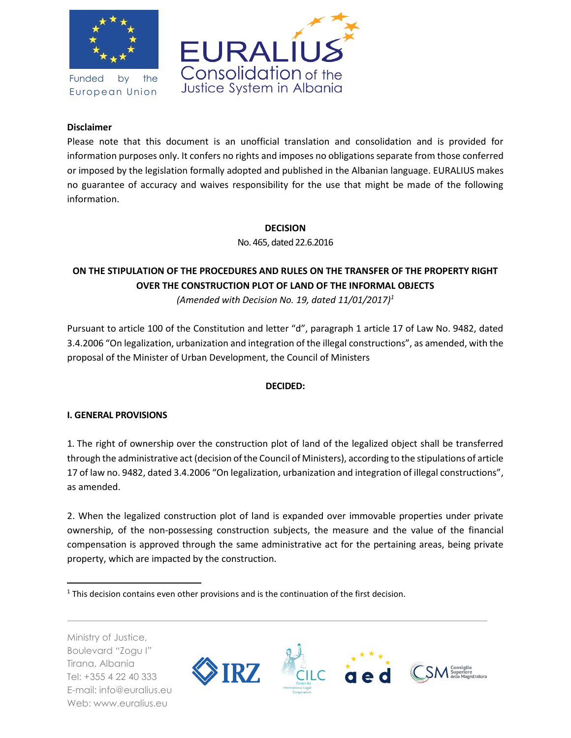

Funded by the European Union



### **Disclaimer**

Please note that this document is an unofficial translation and consolidation and is provided for information purposes only. It confers no rights and imposes no obligations separate from those conferred or imposed by the legislation formally adopted and published in the Albanian language. EURALIUS makes no guarantee of accuracy and waives responsibility for the use that might be made of the following information.

### **DECISION**

No. 465, dated 22.6.2016

# **ON THE STIPULATION OF THE PROCEDURES AND RULES ON THE TRANSFER OF THE PROPERTY RIGHT OVER THE CONSTRUCTION PLOT OF LAND OF THE INFORMAL OBJECTS**

*(Amended with Decision No. 19, dated 11/01/2017)<sup>1</sup>*

Pursuant to article 100 of the Constitution and letter "d", paragraph 1 article 17 of Law No. 9482, dated 3.4.2006 "On legalization, urbanization and integration of the illegal constructions", as amended, with the proposal of the Minister of Urban Development, the Council of Ministers

### **DECIDED:**

### **I. GENERAL PROVISIONS**

1. The right of ownership over the construction plot of land of the legalized object shall be transferred through the administrative act (decision of the Council of Ministers), according to the stipulations of article 17 of law no. 9482, dated 3.4.2006 "On legalization, urbanization and integration of illegal constructions", as amended.

2. When the legalized construction plot of land is expanded over immovable properties under private ownership, of the non-possessing construction subjects, the measure and the value of the financial compensation is approved through the same administrative act for the pertaining areas, being private property, which are impacted by the construction.

Ministry of Justice, Boulevard "Zogu I" Tirana, Albania Tel: +355 4 22 40 333 E-mail: info@euralius.eu Web: www.euralius.eu

 $\overline{a}$ 



<sup>&</sup>lt;sup>1</sup> This decision contains even other provisions and is the continuation of the first decision.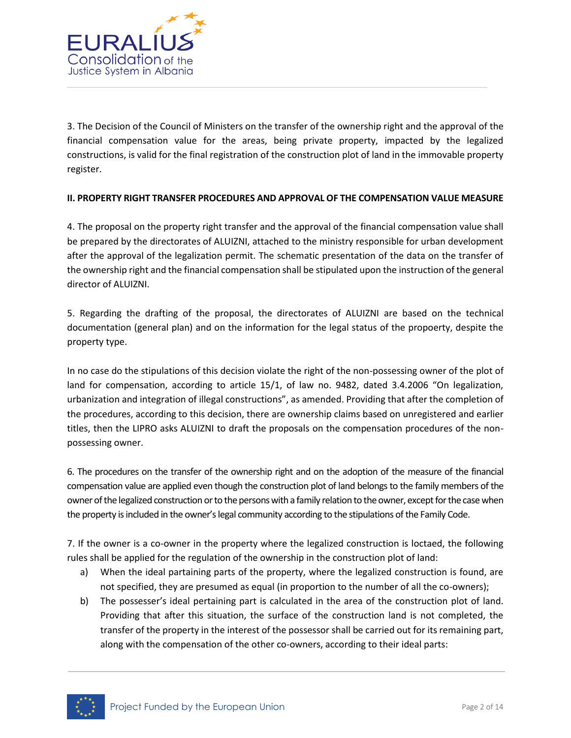

3. The Decision of the Council of Ministers on the transfer of the ownership right and the approval of the financial compensation value for the areas, being private property, impacted by the legalized constructions, is valid for the final registration of the construction plot of land in the immovable property register.

### **II. PROPERTY RIGHT TRANSFER PROCEDURES AND APPROVAL OF THE COMPENSATION VALUE MEASURE**

4. The proposal on the property right transfer and the approval of the financial compensation value shall be prepared by the directorates of ALUIZNI, attached to the ministry responsible for urban development after the approval of the legalization permit. The schematic presentation of the data on the transfer of the ownership right and the financial compensation shall be stipulated upon the instruction of the general director of ALUIZNI.

5. Regarding the drafting of the proposal, the directorates of ALUIZNI are based on the technical documentation (general plan) and on the information for the legal status of the propoerty, despite the property type.

In no case do the stipulations of this decision violate the right of the non-possessing owner of the plot of land for compensation, according to article 15/1, of law no. 9482, dated 3.4.2006 "On legalization, urbanization and integration of illegal constructions", as amended. Providing that after the completion of the procedures, according to this decision, there are ownership claims based on unregistered and earlier titles, then the LIPRO asks ALUIZNI to draft the proposals on the compensation procedures of the nonpossessing owner.

6. The procedures on the transfer of the ownership right and on the adoption of the measure of the financial compensation value are applied even though the construction plot of land belongs to the family members of the owner of the legalized construction or to the persons with a family relation to the owner, except for the case when the property is included in the owner's legal community according to the stipulations of the Family Code.

7. If the owner is a co-owner in the property where the legalized construction is loctaed, the following rules shall be applied for the regulation of the ownership in the construction plot of land:

- a) When the ideal partaining parts of the property, where the legalized construction is found, are not specified, they are presumed as equal (in proportion to the number of all the co-owners);
- b) The possesser's ideal pertaining part is calculated in the area of the construction plot of land. Providing that after this situation, the surface of the construction land is not completed, the transfer of the property in the interest of the possessor shall be carried out for its remaining part, along with the compensation of the other co-owners, according to their ideal parts:

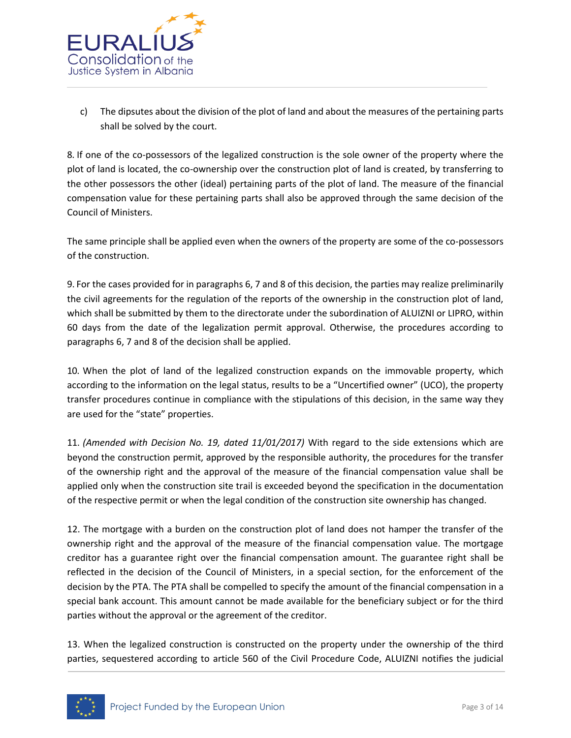

c) The dipsutes about the division of the plot of land and about the measures of the pertaining parts shall be solved by the court.

8. If one of the co-possessors of the legalized construction is the sole owner of the property where the plot of land is located, the co-ownership over the construction plot of land is created, by transferring to the other possessors the other (ideal) pertaining parts of the plot of land. The measure of the financial compensation value for these pertaining parts shall also be approved through the same decision of the Council of Ministers.

The same principle shall be applied even when the owners of the property are some of the co-possessors of the construction.

9. For the cases provided for in paragraphs 6, 7 and 8 of this decision, the parties may realize preliminarily the civil agreements for the regulation of the reports of the ownership in the construction plot of land, which shall be submitted by them to the directorate under the subordination of ALUIZNI or LIPRO, within 60 days from the date of the legalization permit approval. Otherwise, the procedures according to paragraphs 6, 7 and 8 of the decision shall be applied.

10. When the plot of land of the legalized construction expands on the immovable property, which according to the information on the legal status, results to be a "Uncertified owner" (UCO), the property transfer procedures continue in compliance with the stipulations of this decision, in the same way they are used for the "state" properties.

11. *(Amended with Decision No. 19, dated 11/01/2017)* With regard to the side extensions which are beyond the construction permit, approved by the responsible authority, the procedures for the transfer of the ownership right and the approval of the measure of the financial compensation value shall be applied only when the construction site trail is exceeded beyond the specification in the documentation of the respective permit or when the legal condition of the construction site ownership has changed.

12. The mortgage with a burden on the construction plot of land does not hamper the transfer of the ownership right and the approval of the measure of the financial compensation value. The mortgage creditor has a guarantee right over the financial compensation amount. The guarantee right shall be reflected in the decision of the Council of Ministers, in a special section, for the enforcement of the decision by the PTA. The PTA shall be compelled to specify the amount of the financial compensation in a special bank account. This amount cannot be made available for the beneficiary subject or for the third parties without the approval or the agreement of the creditor.

13. When the legalized construction is constructed on the property under the ownership of the third parties, sequestered according to article 560 of the Civil Procedure Code, ALUIZNI notifies the judicial

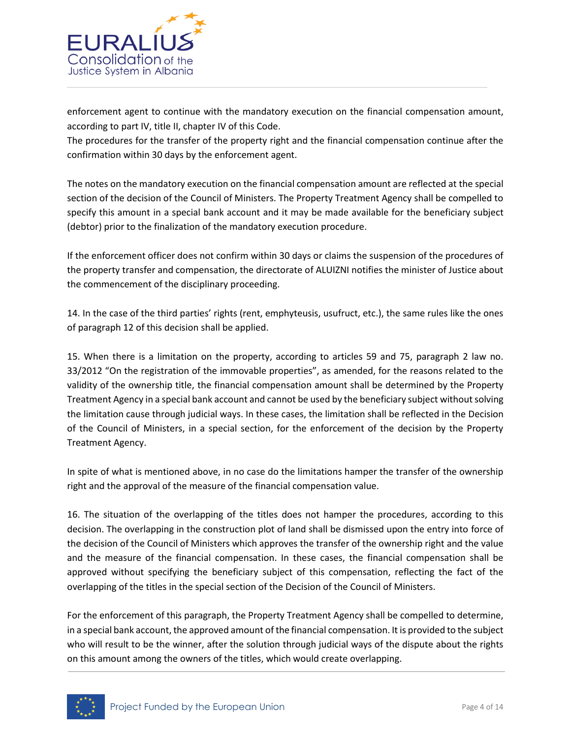

enforcement agent to continue with the mandatory execution on the financial compensation amount, according to part IV, title II, chapter IV of this Code.

The procedures for the transfer of the property right and the financial compensation continue after the confirmation within 30 days by the enforcement agent.

The notes on the mandatory execution on the financial compensation amount are reflected at the special section of the decision of the Council of Ministers. The Property Treatment Agency shall be compelled to specify this amount in a special bank account and it may be made available for the beneficiary subject (debtor) prior to the finalization of the mandatory execution procedure.

If the enforcement officer does not confirm within 30 days or claims the suspension of the procedures of the property transfer and compensation, the directorate of ALUIZNI notifies the minister of Justice about the commencement of the disciplinary proceeding.

14. In the case of the third parties' rights (rent, emphyteusis, usufruct, etc.), the same rules like the ones of paragraph 12 of this decision shall be applied.

15. When there is a limitation on the property, according to articles 59 and 75, paragraph 2 law no. 33/2012 "On the registration of the immovable properties", as amended, for the reasons related to the validity of the ownership title, the financial compensation amount shall be determined by the Property Treatment Agency in a special bank account and cannot be used by the beneficiary subject without solving the limitation cause through judicial ways. In these cases, the limitation shall be reflected in the Decision of the Council of Ministers, in a special section, for the enforcement of the decision by the Property Treatment Agency.

In spite of what is mentioned above, in no case do the limitations hamper the transfer of the ownership right and the approval of the measure of the financial compensation value.

16. The situation of the overlapping of the titles does not hamper the procedures, according to this decision. The overlapping in the construction plot of land shall be dismissed upon the entry into force of the decision of the Council of Ministers which approves the transfer of the ownership right and the value and the measure of the financial compensation. In these cases, the financial compensation shall be approved without specifying the beneficiary subject of this compensation, reflecting the fact of the overlapping of the titles in the special section of the Decision of the Council of Ministers.

For the enforcement of this paragraph, the Property Treatment Agency shall be compelled to determine, in a special bank account, the approved amount of the financial compensation. It is provided to the subject who will result to be the winner, after the solution through judicial ways of the dispute about the rights on this amount among the owners of the titles, which would create overlapping.

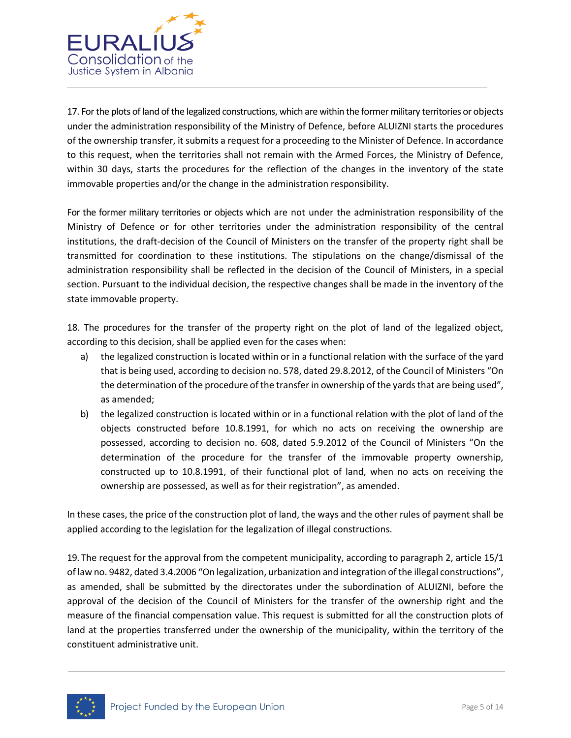

17. For the plots of land of the legalized constructions, which are within the former military territories or objects under the administration responsibility of the Ministry of Defence, before ALUIZNI starts the procedures of the ownership transfer, it submits a request for a proceeding to the Minister of Defence. In accordance to this request, when the territories shall not remain with the Armed Forces, the Ministry of Defence, within 30 days, starts the procedures for the reflection of the changes in the inventory of the state immovable properties and/or the change in the administration responsibility.

For the former military territories or objects which are not under the administration responsibility of the Ministry of Defence or for other territories under the administration responsibility of the central institutions, the draft-decision of the Council of Ministers on the transfer of the property right shall be transmitted for coordination to these institutions. The stipulations on the change/dismissal of the administration responsibility shall be reflected in the decision of the Council of Ministers, in a special section. Pursuant to the individual decision, the respective changes shall be made in the inventory of the state immovable property.

18. The procedures for the transfer of the property right on the plot of land of the legalized object, according to this decision, shall be applied even for the cases when:

- a) the legalized construction is located within or in a functional relation with the surface of the yard that is being used, according to decision no. 578, dated 29.8.2012, of the Council of Ministers "On the determination of the procedure of the transfer in ownership of the yards that are being used", as amended;
- b) the legalized construction is located within or in a functional relation with the plot of land of the objects constructed before 10.8.1991, for which no acts on receiving the ownership are possessed, according to decision no. 608, dated 5.9.2012 of the Council of Ministers "On the determination of the procedure for the transfer of the immovable property ownership, constructed up to 10.8.1991, of their functional plot of land, when no acts on receiving the ownership are possessed, as well as for their registration", as amended.

In these cases, the price of the construction plot of land, the ways and the other rules of payment shall be applied according to the legislation for the legalization of illegal constructions.

19. The request for the approval from the competent municipality, according to paragraph 2, article 15/1 of law no. 9482, dated 3.4.2006 "On legalization, urbanization and integration of the illegal constructions", as amended, shall be submitted by the directorates under the subordination of ALUIZNI, before the approval of the decision of the Council of Ministers for the transfer of the ownership right and the measure of the financial compensation value. This request is submitted for all the construction plots of land at the properties transferred under the ownership of the municipality, within the territory of the constituent administrative unit.

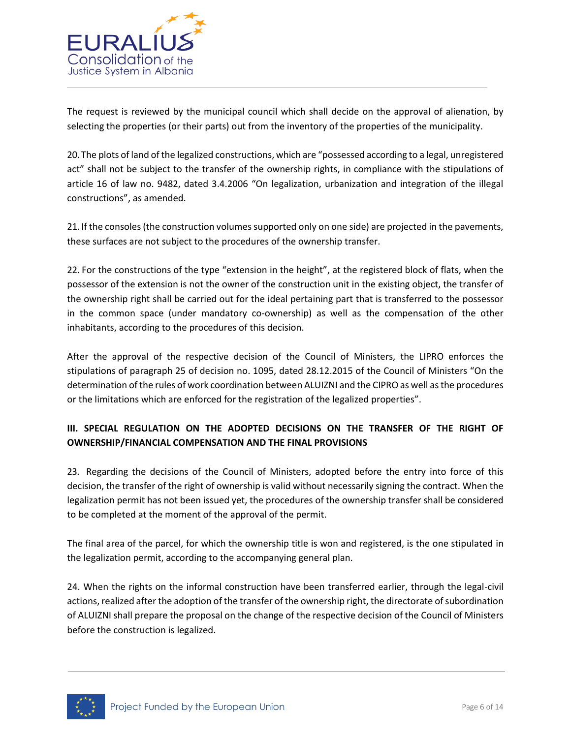

The request is reviewed by the municipal council which shall decide on the approval of alienation, by selecting the properties (or their parts) out from the inventory of the properties of the municipality.

20. The plots of land of the legalized constructions, which are "possessed according to a legal, unregistered act" shall not be subject to the transfer of the ownership rights, in compliance with the stipulations of article 16 of law no. 9482, dated 3.4.2006 "On legalization, urbanization and integration of the illegal constructions", as amended.

21. If the consoles (the construction volumes supported only on one side) are projected in the pavements, these surfaces are not subject to the procedures of the ownership transfer.

22. For the constructions of the type "extension in the height", at the registered block of flats, when the possessor of the extension is not the owner of the construction unit in the existing object, the transfer of the ownership right shall be carried out for the ideal pertaining part that is transferred to the possessor in the common space (under mandatory co-ownership) as well as the compensation of the other inhabitants, according to the procedures of this decision.

After the approval of the respective decision of the Council of Ministers, the LIPRO enforces the stipulations of paragraph 25 of decision no. 1095, dated 28.12.2015 of the Council of Ministers "On the determination of the rules of work coordination between ALUIZNI and the CIPRO as well as the procedures or the limitations which are enforced for the registration of the legalized properties".

## **III. SPECIAL REGULATION ON THE ADOPTED DECISIONS ON THE TRANSFER OF THE RIGHT OF OWNERSHIP/FINANCIAL COMPENSATION AND THE FINAL PROVISIONS**

23. Regarding the decisions of the Council of Ministers, adopted before the entry into force of this decision, the transfer of the right of ownership is valid without necessarily signing the contract. When the legalization permit has not been issued yet, the procedures of the ownership transfer shall be considered to be completed at the moment of the approval of the permit.

The final area of the parcel, for which the ownership title is won and registered, is the one stipulated in the legalization permit, according to the accompanying general plan.

24. When the rights on the informal construction have been transferred earlier, through the legal-civil actions, realized after the adoption of the transfer of the ownership right, the directorate of subordination of ALUIZNI shall prepare the proposal on the change of the respective decision of the Council of Ministers before the construction is legalized.

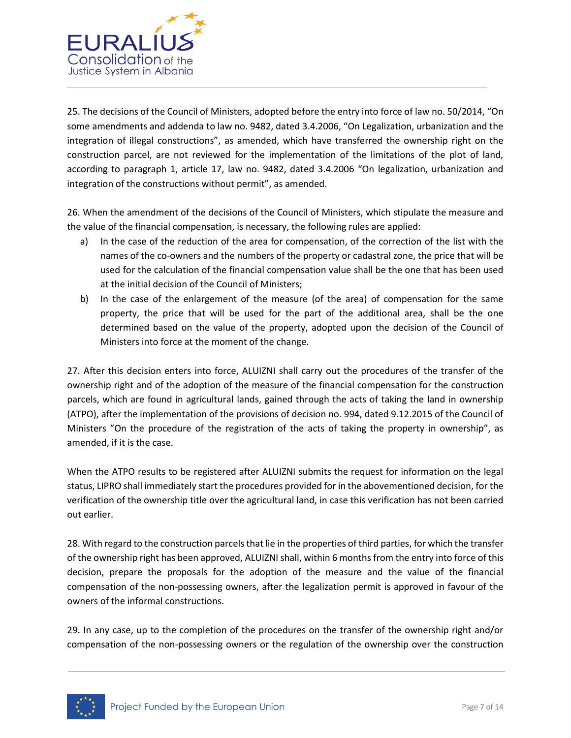

25. The decisions of the Council of Ministers, adopted before the entry into force of law no. 50/2014, "On some amendments and addenda to law no. 9482, dated 3.4.2006, "On Legalization, urbanization and the integration of illegal constructions", as amended, which have transferred the ownership right on the construction parcel, are not reviewed for the implementation of the limitations of the plot of land, according to paragraph 1, article 17, law no. 9482, dated 3.4.2006 "On legalization, urbanization and integration of the constructions without permit", as amended.

26. When the amendment of the decisions of the Council of Ministers, which stipulate the measure and the value of the financial compensation, is necessary, the following rules are applied:

- a) In the case of the reduction of the area for compensation, of the correction of the list with the names of the co-owners and the numbers of the property or cadastral zone, the price that will be used for the calculation of the financial compensation value shall be the one that has been used at the initial decision of the Council of Ministers;
- b) In the case of the enlargement of the measure (of the area) of compensation for the same property, the price that will be used for the part of the additional area, shall be the one determined based on the value of the property, adopted upon the decision of the Council of Ministers into force at the moment of the change.

27. After this decision enters into force, ALUIZNI shall carry out the procedures of the transfer of the ownership right and of the adoption of the measure of the financial compensation for the construction parcels, which are found in agricultural lands, gained through the acts of taking the land in ownership (ATPO), after the implementation of the provisions of decision no. 994, dated 9.12.2015 of the Council of Ministers "On the procedure of the registration of the acts of taking the property in ownership", as amended, if it is the case.

When the ATPO results to be registered after ALUIZNI submits the request for information on the legal status, LIPRO shall immediately start the procedures provided for in the abovementioned decision, for the verification of the ownership title over the agricultural land, in case this verification has not been carried out earlier.

28. With regard to the construction parcels that lie in the properties of third parties, for which the transfer of the ownership right has been approved, ALUIZNI shall, within 6 months from the entry into force of this decision, prepare the proposals for the adoption of the measure and the value of the financial compensation of the non-possessing owners, after the legalization permit is approved in favour of the owners of the informal constructions.

29. In any case, up to the completion of the procedures on the transfer of the ownership right and/or compensation of the non-possessing owners or the regulation of the ownership over the construction

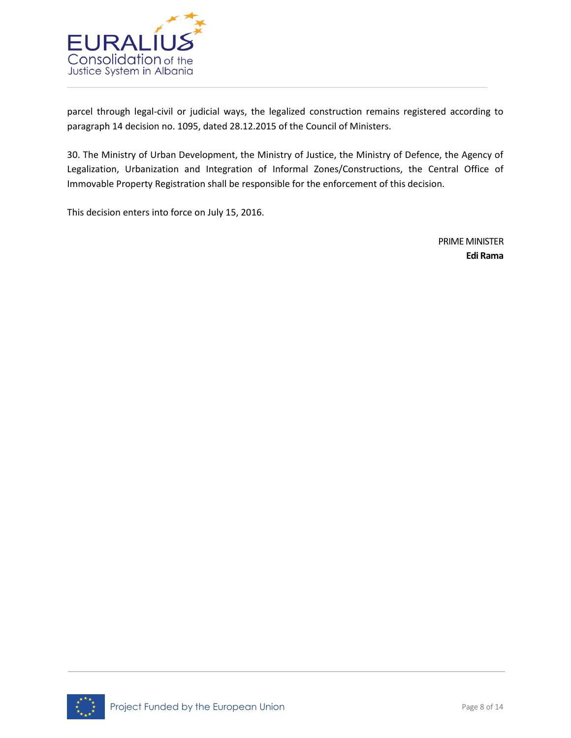

parcel through legal-civil or judicial ways, the legalized construction remains registered according to paragraph 14 decision no. 1095, dated 28.12.2015 of the Council of Ministers.

30. The Ministry of Urban Development, the Ministry of Justice, the Ministry of Defence, the Agency of Legalization, Urbanization and Integration of Informal Zones/Constructions, the Central Office of Immovable Property Registration shall be responsible for the enforcement of this decision.

This decision enters into force on July 15, 2016.

PRIME MINISTER **Edi Rama**

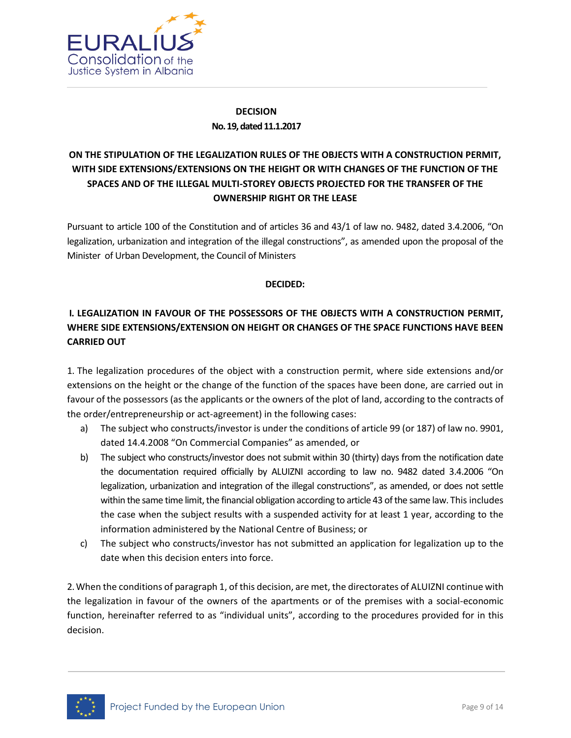

## **DECISION No. 19, dated 11.1.2017**

# **ON THE STIPULATION OF THE LEGALIZATION RULES OF THE OBJECTS WITH A CONSTRUCTION PERMIT, WITH SIDE EXTENSIONS/EXTENSIONS ON THE HEIGHT OR WITH CHANGES OF THE FUNCTION OF THE SPACES AND OF THE ILLEGAL MULTI-STOREY OBJECTS PROJECTED FOR THE TRANSFER OF THE OWNERSHIP RIGHT OR THE LEASE**

Pursuant to article 100 of the Constitution and of articles 36 and 43/1 of law no. 9482, dated 3.4.2006, "On legalization, urbanization and integration of the illegal constructions", as amended upon the proposal of the Minister of Urban Development, the Council of Ministers

### **DECIDED:**

## **I. LEGALIZATION IN FAVOUR OF THE POSSESSORS OF THE OBJECTS WITH A CONSTRUCTION PERMIT, WHERE SIDE EXTENSIONS/EXTENSION ON HEIGHT OR CHANGES OF THE SPACE FUNCTIONS HAVE BEEN CARRIED OUT**

1. The legalization procedures of the object with a construction permit, where side extensions and/or extensions on the height or the change of the function of the spaces have been done, are carried out in favour of the possessors (as the applicants or the owners of the plot of land, according to the contracts of the order/entrepreneurship or act-agreement) in the following cases:

- a) The subject who constructs/investor is under the conditions of article 99 (or 187) of law no. 9901, dated 14.4.2008 "On Commercial Companies" as amended, or
- b) The subject who constructs/investor does not submit within 30 (thirty) days from the notification date the documentation required officially by ALUIZNI according to law no. 9482 dated 3.4.2006 "On legalization, urbanization and integration of the illegal constructions", as amended, or does not settle within the same time limit, the financial obligation according to article 43 of the same law. This includes the case when the subject results with a suspended activity for at least 1 year, according to the information administered by the National Centre of Business; or
- c) The subject who constructs/investor has not submitted an application for legalization up to the date when this decision enters into force.

2. When the conditions of paragraph 1, of this decision, are met, the directorates of ALUIZNI continue with the legalization in favour of the owners of the apartments or of the premises with a social-economic function, hereinafter referred to as "individual units", according to the procedures provided for in this decision.

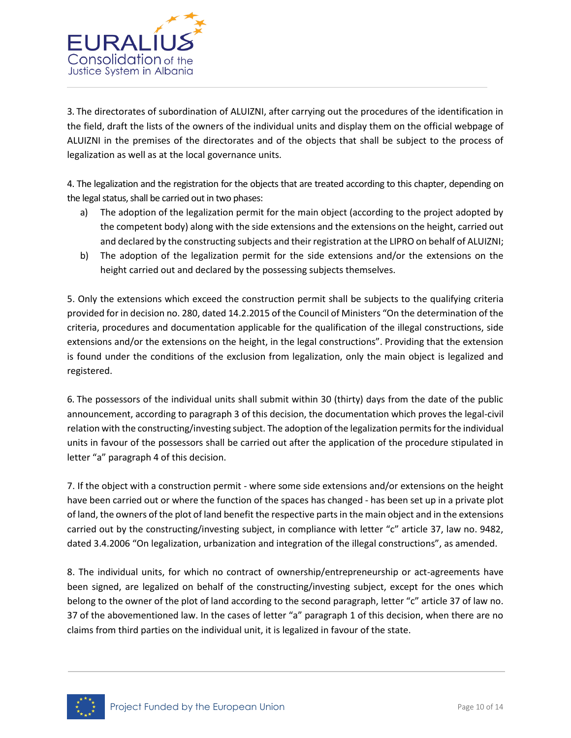

3. The directorates of subordination of ALUIZNI, after carrying out the procedures of the identification in the field, draft the lists of the owners of the individual units and display them on the official webpage of ALUIZNI in the premises of the directorates and of the objects that shall be subject to the process of legalization as well as at the local governance units.

4. The legalization and the registration for the objects that are treated according to this chapter, depending on the legal status, shall be carried out in two phases:

- a) The adoption of the legalization permit for the main object (according to the project adopted by the competent body) along with the side extensions and the extensions on the height, carried out and declared by the constructing subjects and their registration at the LIPRO on behalf of ALUIZNI;
- b) The adoption of the legalization permit for the side extensions and/or the extensions on the height carried out and declared by the possessing subjects themselves.

5. Only the extensions which exceed the construction permit shall be subjects to the qualifying criteria provided for in decision no. 280, dated 14.2.2015 of the Council of Ministers "On the determination of the criteria, procedures and documentation applicable for the qualification of the illegal constructions, side extensions and/or the extensions on the height, in the legal constructions". Providing that the extension is found under the conditions of the exclusion from legalization, only the main object is legalized and registered.

6. The possessors of the individual units shall submit within 30 (thirty) days from the date of the public announcement, according to paragraph 3 of this decision, the documentation which proves the legal-civil relation with the constructing/investing subject. The adoption of the legalization permits for the individual units in favour of the possessors shall be carried out after the application of the procedure stipulated in letter "a" paragraph 4 of this decision.

7. If the object with a construction permit - where some side extensions and/or extensions on the height have been carried out or where the function of the spaces has changed - has been set up in a private plot of land, the owners of the plot of land benefit the respective parts in the main object and in the extensions carried out by the constructing/investing subject, in compliance with letter "c" article 37, law no. 9482, dated 3.4.2006 "On legalization, urbanization and integration of the illegal constructions", as amended.

8. The individual units, for which no contract of ownership/entrepreneurship or act-agreements have been signed, are legalized on behalf of the constructing/investing subject, except for the ones which belong to the owner of the plot of land according to the second paragraph, letter "c" article 37 of law no. 37 of the abovementioned law. In the cases of letter "a" paragraph 1 of this decision, when there are no claims from third parties on the individual unit, it is legalized in favour of the state.

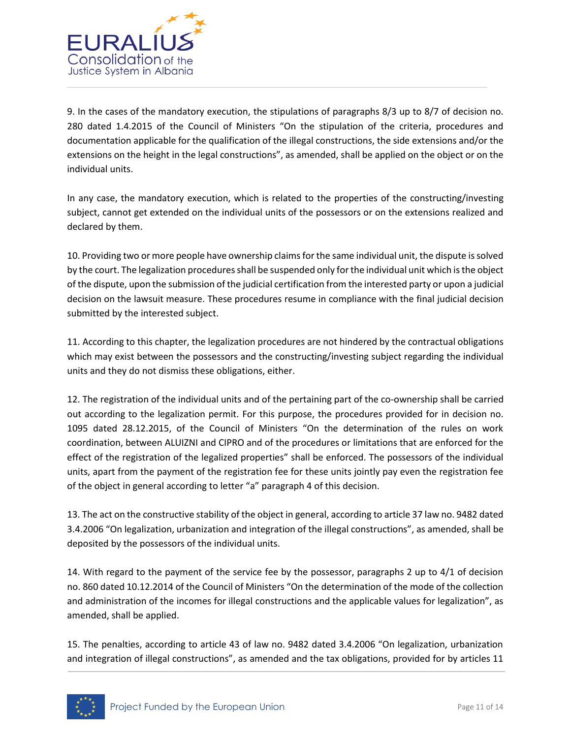

9. In the cases of the mandatory execution, the stipulations of paragraphs 8/3 up to 8/7 of decision no. 280 dated 1.4.2015 of the Council of Ministers "On the stipulation of the criteria, procedures and documentation applicable for the qualification of the illegal constructions, the side extensions and/or the extensions on the height in the legal constructions", as amended, shall be applied on the object or on the individual units.

In any case, the mandatory execution, which is related to the properties of the constructing/investing subject, cannot get extended on the individual units of the possessors or on the extensions realized and declared by them.

10. Providing two or more people have ownership claims for the same individual unit, the dispute is solved by the court. The legalization procedures shall be suspended only for the individual unit which is the object of the dispute, upon the submission of the judicial certification from the interested party or upon a judicial decision on the lawsuit measure. These procedures resume in compliance with the final judicial decision submitted by the interested subject.

11. According to this chapter, the legalization procedures are not hindered by the contractual obligations which may exist between the possessors and the constructing/investing subject regarding the individual units and they do not dismiss these obligations, either.

12. The registration of the individual units and of the pertaining part of the co-ownership shall be carried out according to the legalization permit. For this purpose, the procedures provided for in decision no. 1095 dated 28.12.2015, of the Council of Ministers "On the determination of the rules on work coordination, between ALUIZNI and CIPRO and of the procedures or limitations that are enforced for the effect of the registration of the legalized properties" shall be enforced. The possessors of the individual units, apart from the payment of the registration fee for these units jointly pay even the registration fee of the object in general according to letter "a" paragraph 4 of this decision.

13. The act on the constructive stability of the object in general, according to article 37 law no. 9482 dated 3.4.2006 "On legalization, urbanization and integration of the illegal constructions", as amended, shall be deposited by the possessors of the individual units.

14. With regard to the payment of the service fee by the possessor, paragraphs 2 up to 4/1 of decision no. 860 dated 10.12.2014 of the Council of Ministers "On the determination of the mode of the collection and administration of the incomes for illegal constructions and the applicable values for legalization", as amended, shall be applied.

15. The penalties, according to article 43 of law no. 9482 dated 3.4.2006 "On legalization, urbanization and integration of illegal constructions", as amended and the tax obligations, provided for by articles 11

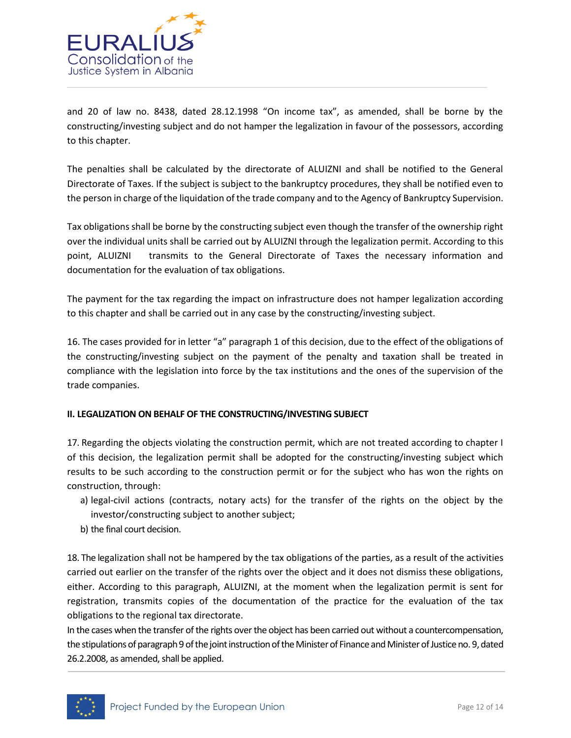

and 20 of law no. 8438, dated 28.12.1998 "On income tax", as amended, shall be borne by the constructing/investing subject and do not hamper the legalization in favour of the possessors, according to this chapter.

The penalties shall be calculated by the directorate of ALUIZNI and shall be notified to the General Directorate of Taxes. If the subject is subject to the bankruptcy procedures, they shall be notified even to the person in charge of the liquidation of the trade company and to the Agency of Bankruptcy Supervision.

Tax obligations shall be borne by the constructing subject even though the transfer of the ownership right over the individual units shall be carried out by ALUIZNI through the legalization permit. According to this point, ALUIZNI transmits to the General Directorate of Taxes the necessary information and documentation for the evaluation of tax obligations.

The payment for the tax regarding the impact on infrastructure does not hamper legalization according to this chapter and shall be carried out in any case by the constructing/investing subject.

16. The cases provided for in letter "a" paragraph 1 of this decision, due to the effect of the obligations of the constructing/investing subject on the payment of the penalty and taxation shall be treated in compliance with the legislation into force by the tax institutions and the ones of the supervision of the trade companies.

### **II. LEGALIZATION ON BEHALF OF THE CONSTRUCTING/INVESTING SUBJECT**

17. Regarding the objects violating the construction permit, which are not treated according to chapter I of this decision, the legalization permit shall be adopted for the constructing/investing subject which results to be such according to the construction permit or for the subject who has won the rights on construction, through:

- a) legal-civil actions (contracts, notary acts) for the transfer of the rights on the object by the investor/constructing subject to another subject;
- b) the final court decision.

18. The legalization shall not be hampered by the tax obligations of the parties, as a result of the activities carried out earlier on the transfer of the rights over the object and it does not dismiss these obligations, either. According to this paragraph, ALUIZNI, at the moment when the legalization permit is sent for registration, transmits copies of the documentation of the practice for the evaluation of the tax obligations to the regional tax directorate.

In the cases when the transfer of the rights over the object has been carried out without a countercompensation, the stipulations of paragraph 9 of the joint instruction of the Minister of Finance and Minister of Justice no. 9, dated 26.2.2008, as amended, shall be applied.

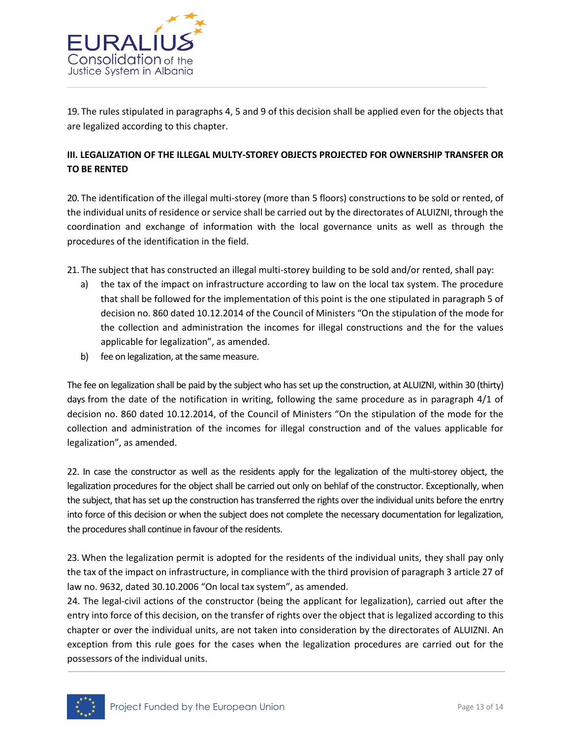

19. The rules stipulated in paragraphs 4, 5 and 9 of this decision shall be applied even for the objects that are legalized according to this chapter.

### **III. LEGALIZATION OF THE ILLEGAL MULTY-STOREY OBJECTS PROJECTED FOR OWNERSHIP TRANSFER OR TO BE RENTED**

20. The identification of the illegal multi-storey (more than 5 floors) constructions to be sold or rented, of the individual units of residence or service shall be carried out by the directorates of ALUIZNI, through the coordination and exchange of information with the local governance units as well as through the procedures of the identification in the field.

21. The subject that has constructed an illegal multi-storey building to be sold and/or rented, shall pay:

- a) the tax of the impact on infrastructure according to law on the local tax system. The procedure that shall be followed for the implementation of this point is the one stipulated in paragraph 5 of decision no. 860 dated 10.12.2014 of the Council of Ministers "On the stipulation of the mode for the collection and administration the incomes for illegal constructions and the for the values applicable for legalization", as amended.
- b) fee on legalization, at the same measure.

The fee on legalization shall be paid by the subject who has set up the construction, at ALUIZNI, within 30 (thirty) days from the date of the notification in writing, following the same procedure as in paragraph 4/1 of decision no. 860 dated 10.12.2014, of the Council of Ministers "On the stipulation of the mode for the collection and administration of the incomes for illegal construction and of the values applicable for legalization", as amended.

22. In case the constructor as well as the residents apply for the legalization of the multi-storey object, the legalization procedures for the object shall be carried out only on behlaf of the constructor. Exceptionally, when the subject, that has set up the construction has transferred the rights over the individual units before the enrtry into force of this decision or when the subject does not complete the necessary documentation for legalization, the procedures shall continue in favour of the residents.

23. When the legalization permit is adopted for the residents of the individual units, they shall pay only the tax of the impact on infrastructure, in compliance with the third provision of paragraph 3 article 27 of law no. 9632, dated 30.10.2006 "On local tax system", as amended.

24. The legal-civil actions of the constructor (being the applicant for legalization), carried out after the entry into force of this decision, on the transfer of rights over the object that is legalized according to this chapter or over the individual units, are not taken into consideration by the directorates of ALUIZNI. An exception from this rule goes for the cases when the legalization procedures are carried out for the possessors of the individual units.